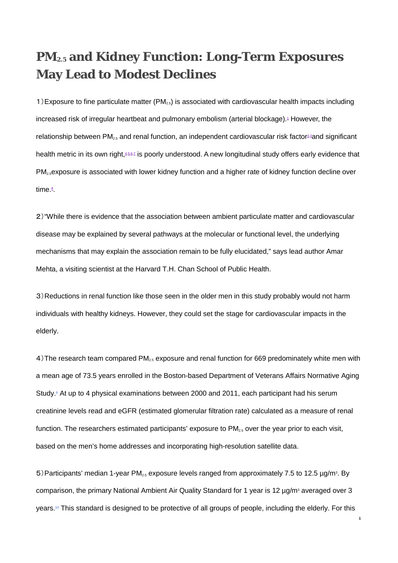## **PM2.5 and Kidney Function: Long-Term Exposures May Lead to Modest Declines**

1) Exposure to fine particulate matter  $(PM<sub>2.5</sub>)$  is associated with cardiovascular health impacts including increased risk of irregular heartbeat and pulmonary embolism (arterial blockage).<sup>1</sup> However, the relationship between PM<sub>25</sub> and renal function, an independent cardiovascular risk factor<sup>2,[3](http://ehp.niehs.nih.gov/124-a168/#r3)</sup>and significant health metric in its own right, 4,[5,](http://ehp.niehs.nih.gov/124-a168/#r5)[6,](http://ehp.niehs.nih.gov/124-a168/#r6)[7](http://ehp.niehs.nih.gov/124-a168/#r7) is poorly understood. A new longitudinal study offers early evidence that PM<sub>2.5</sub>exposure is associated with lower kidney function and a higher rate of kidney function decline over time.<sup>g</sup>

2)"While there is evidence that the association between ambient particulate matter and cardiovascular disease may be explained by several pathways at the molecular or functional level, the underlying mechanisms that may explain the association remain to be fully elucidated," says lead author Amar Mehta, a visiting scientist at the Harvard T.H. Chan School of Public Health.

3)Reductions in renal function like those seen in the older men in this study probably would not harm individuals with healthy kidneys. However, they could set the stage for cardiovascular impacts in the elderly.

4) The research team compared PM<sub>2.5</sub> exposure and renal function for 669 predominately white men with a mean age of 73.5 years enrolled in the Boston-based Department of Veterans Affairs Normative Aging Study.<sup>9</sup> At up to 4 physical examinations between 2000 and 2011, each participant had his serum creatinine levels read and eGFR (estimated glomerular filtration rate) calculated as a measure of renal function. The researchers estimated participants' exposure to  $PM_{2.5}$  over the year prior to each visit, based on the men's home addresses and incorporating high-resolution satellite data.

5) Participants' median 1-year PM<sub>2.5</sub> exposure levels ranged from approximately 7.5 to 12.5  $\mu$ g/m<sup>3</sup>. By comparison, the primary National Ambient Air Quality Standard for 1 year is 12  $\mu$ g/m<sup>3</sup> averaged over 3 years[.10](http://ehp.niehs.nih.gov/124-A168/#r10) This standard is designed to be protective of all groups of people, including the elderly. For this

1